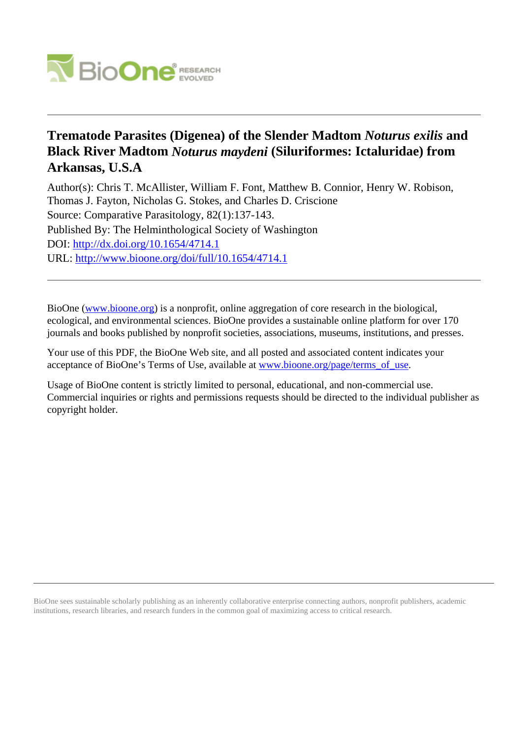

# **Trematode Parasites (Digenea) of the Slender Madtom** *Noturus exilis* **and Black River Madtom** *Noturus maydeni* **(Siluriformes: Ictaluridae) from Arkansas, U.S.A**

Author(s): Chris T. McAllister, William F. Font, Matthew B. Connior, Henry W. Robison, Thomas J. Fayton, Nicholas G. Stokes, and Charles D. Criscione Source: Comparative Parasitology, 82(1):137-143. Published By: The Helminthological Society of Washington DOI:<http://dx.doi.org/10.1654/4714.1> URL: <http://www.bioone.org/doi/full/10.1654/4714.1>

BioOne [\(www.bioone.org\)](http://www.bioone.org) is a nonprofit, online aggregation of core research in the biological, ecological, and environmental sciences. BioOne provides a sustainable online platform for over 170 journals and books published by nonprofit societies, associations, museums, institutions, and presses.

Your use of this PDF, the BioOne Web site, and all posted and associated content indicates your acceptance of BioOne's Terms of Use, available at [www.bioone.org/page/terms\\_of\\_use.](http://www.bioone.org/page/terms_of_use)

Usage of BioOne content is strictly limited to personal, educational, and non-commercial use. Commercial inquiries or rights and permissions requests should be directed to the individual publisher as copyright holder.

BioOne sees sustainable scholarly publishing as an inherently collaborative enterprise connecting authors, nonprofit publishers, academic institutions, research libraries, and research funders in the common goal of maximizing access to critical research.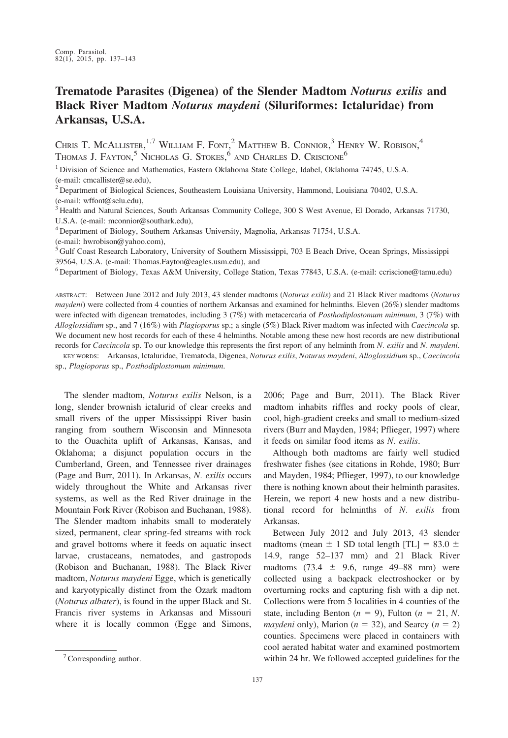## Trematode Parasites (Digenea) of the Slender Madtom Noturus exilis and Black River Madtom Noturus maydeni (Siluriformes: Ictaluridae) from Arkansas, U.S.A.

CHRIS T. MCALLISTER,<sup>1,7</sup> WILLIAM F. FONT,<sup>2</sup> MATTHEW B. CONNIOR,<sup>3</sup> HENRY W. ROBISON,<sup>4</sup> Thomas J. Fayton,<sup>5</sup> Nicholas G. Stokes,<sup>6</sup> and Charles D. Criscione<sup>6</sup>

<sup>1</sup> Division of Science and Mathematics, Eastern Oklahoma State College, Idabel, Oklahoma 74745, U.S.A. (e-mail: cmcallister@se.edu),

<sup>2</sup> Department of Biological Sciences, Southeastern Louisiana University, Hammond, Louisiana 70402, U.S.A. (e-mail: wffont@selu.edu),

<sup>3</sup> Health and Natural Sciences, South Arkansas Community College, 300 S West Avenue, El Dorado, Arkansas 71730, U.S.A. (e-mail: mconnior@southark.edu),

<sup>4</sup> Department of Biology, Southern Arkansas University, Magnolia, Arkansas 71754, U.S.A.

(e-mail: hwrobison@yahoo.com),

<sup>5</sup> Gulf Coast Research Laboratory, University of Southern Mississippi, 703 E Beach Drive, Ocean Springs, Mississippi 39564, U.S.A. (e-mail: Thomas.Fayton@eagles.usm.edu), and

<sup>6</sup> Department of Biology, Texas A&M University, College Station, Texas 77843, U.S.A. (e-mail: ccriscione@tamu.edu)

ABSTRACT: Between June 2012 and July 2013, 43 slender madtoms (Noturus exilis) and 21 Black River madtoms (Noturus maydeni) were collected from 4 counties of northern Arkansas and examined for helminths. Eleven (26%) slender madtoms were infected with digenean trematodes, including 3 (7%) with metacercaria of *Posthodiplostomum minimum*, 3 (7%) with Alloglossidium sp., and 7 (16%) with Plagioporus sp.; a single (5%) Black River madtom was infected with Caecincola sp. We document new host records for each of these 4 helminths. Notable among these new host records are new distributional records for Caecincola sp. To our knowledge this represents the first report of any helminth from N. exilis and N. maydeni.

KEY WORDS: Arkansas, Ictaluridae, Trematoda, Digenea, Noturus exilis, Noturus maydeni, Alloglossidium sp., Caecincola sp., Plagioporus sp., Posthodiplostomum minimum.

The slender madtom, Noturus exilis Nelson, is a long, slender brownish ictalurid of clear creeks and small rivers of the upper Mississippi River basin ranging from southern Wisconsin and Minnesota to the Ouachita uplift of Arkansas, Kansas, and Oklahoma; a disjunct population occurs in the Cumberland, Green, and Tennessee river drainages (Page and Burr, 2011). In Arkansas, N. exilis occurs widely throughout the White and Arkansas river systems, as well as the Red River drainage in the Mountain Fork River (Robison and Buchanan, 1988). The Slender madtom inhabits small to moderately sized, permanent, clear spring-fed streams with rock and gravel bottoms where it feeds on aquatic insect larvae, crustaceans, nematodes, and gastropods (Robison and Buchanan, 1988). The Black River madtom, Noturus maydeni Egge, which is genetically and karyotypically distinct from the Ozark madtom (Noturus albater), is found in the upper Black and St. Francis river systems in Arkansas and Missouri where it is locally common (Egge and Simons, 2006; Page and Burr, 2011). The Black River madtom inhabits riffles and rocky pools of clear, cool, high-gradient creeks and small to medium-sized rivers (Burr and Mayden, 1984; Pflieger, 1997) where it feeds on similar food items as N. exilis.

Although both madtoms are fairly well studied freshwater fishes (see citations in Rohde, 1980; Burr and Mayden, 1984; Pflieger, 1997), to our knowledge there is nothing known about their helminth parasites. Herein, we report 4 new hosts and a new distributional record for helminths of N. exilis from Arkansas.

Between July 2012 and July 2013, 43 slender madtoms (mean  $\pm$  1 SD total length [TL] = 83.0  $\pm$ 14.9, range 52–137 mm) and 21 Black River madtoms (73.4  $\pm$  9.6, range 49–88 mm) were collected using a backpack electroshocker or by overturning rocks and capturing fish with a dip net. Collections were from 5 localities in 4 counties of the state, including Benton ( $n = 9$ ), Fulton ( $n = 21$ , N. *maydeni* only), Marion ( $n = 32$ ), and Searcy ( $n = 2$ ) counties. Specimens were placed in containers with cool aerated habitat water and examined postmortem  $\frac{7}{2}$  Corresponding author. We followed accepted guidelines for the 7Corresponding author.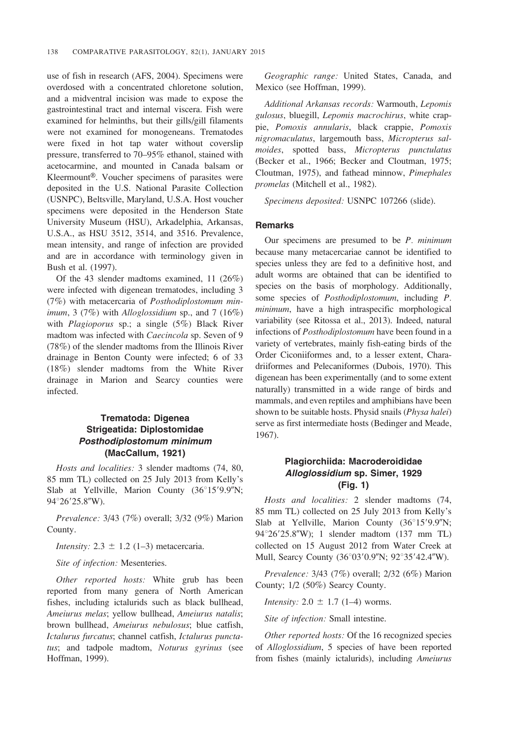use of fish in research (AFS, 2004). Specimens were overdosed with a concentrated chloretone solution, and a midventral incision was made to expose the gastrointestinal tract and internal viscera. Fish were examined for helminths, but their gills/gill filaments were not examined for monogeneans. Trematodes were fixed in hot tap water without coverslip pressure, transferred to 70–95% ethanol, stained with acetocarmine, and mounted in Canada balsam or Kleermount®. Voucher specimens of parasites were deposited in the U.S. National Parasite Collection (USNPC), Beltsville, Maryland, U.S.A. Host voucher specimens were deposited in the Henderson State University Museum (HSU), Arkadelphia, Arkansas, U.S.A., as HSU 3512, 3514, and 3516. Prevalence, mean intensity, and range of infection are provided and are in accordance with terminology given in Bush et al. (1997).

Of the 43 slender madtoms examined, 11 (26%) were infected with digenean trematodes, including 3 (7%) with metacercaria of Posthodiplostomum minimum, 3 (7%) with Alloglossidium sp., and 7 (16%) with *Plagioporus* sp.; a single (5%) Black River madtom was infected with Caecincola sp. Seven of 9 (78%) of the slender madtoms from the Illinois River drainage in Benton County were infected; 6 of 33 (18%) slender madtoms from the White River drainage in Marion and Searcy counties were infected.

## Trematoda: Digenea Strigeatida: Diplostomidae Posthodiplostomum minimum (MacCallum, 1921)

Hosts and localities: 3 slender madtoms (74, 80, 85 mm TL) collected on 25 July 2013 from Kelly's Slab at Yellville, Marion County (36°15'9.9"N; 94°26′25.8″W).

Prevalence: 3/43 (7%) overall; 3/32 (9%) Marion County.

*Intensity:*  $2.3 \pm 1.2$  (1–3) metacercaria.

Site of infection: Mesenteries.

Other reported hosts: White grub has been reported from many genera of North American fishes, including ictalurids such as black bullhead, Ameiurus melas; yellow bullhead, Ameiurus natalis; brown bullhead, Ameiurus nebulosus; blue catfish, Ictalurus furcatus; channel catfish, Ictalurus punctatus; and tadpole madtom, Noturus gyrinus (see Hoffman, 1999).

Geographic range: United States, Canada, and Mexico (see Hoffman, 1999).

Additional Arkansas records: Warmouth, Lepomis gulosus, bluegill, Lepomis macrochirus, white crappie, Pomoxis annularis, black crappie, Pomoxis nigromaculatus, largemouth bass, Micropterus salmoides, spotted bass, Micropterus punctulatus (Becker et al., 1966; Becker and Cloutman, 1975; Cloutman, 1975), and fathead minnow, Pimephales promelas (Mitchell et al., 1982).

Specimens deposited: USNPC 107266 (slide).

#### Remarks

Our specimens are presumed to be  $P$ . minimum because many metacercariae cannot be identified to species unless they are fed to a definitive host, and adult worms are obtained that can be identified to species on the basis of morphology. Additionally, some species of *Posthodiplostomum*, including *P*. minimum, have a high intraspecific morphological variability (see Ritossa et al., 2013). Indeed, natural infections of Posthodiplostomum have been found in a variety of vertebrates, mainly fish-eating birds of the Order Ciconiiformes and, to a lesser extent, Charadriiformes and Pelecaniformes (Dubois, 1970). This digenean has been experimentally (and to some extent naturally) transmitted in a wide range of birds and mammals, and even reptiles and amphibians have been shown to be suitable hosts. Physid snails (Physa halei) serve as first intermediate hosts (Bedinger and Meade, 1967).

#### Plagiorchiida: Macroderoididae Alloglossidium sp. Simer, 1929 (Fig. 1)

Hosts and localities: 2 slender madtoms (74, 85 mm TL) collected on 25 July 2013 from Kelly's Slab at Yellville, Marion County  $(36^{\circ}15'9.9'')$ N; 94°26'25.8"W); 1 slender madtom (137 mm TL) collected on 15 August 2012 from Water Creek at Mull, Searcy County (36°03'0.9"N; 92°35'42.4"W).

Prevalence: 3/43 (7%) overall; 2/32 (6%) Marion County; 1/2 (50%) Searcy County.

*Intensity:*  $2.0 \pm 1.7$  (1–4) worms.

Site of infection: Small intestine.

Other reported hosts: Of the 16 recognized species of Alloglossidium, 5 species of have been reported from fishes (mainly ictalurids), including Ameiurus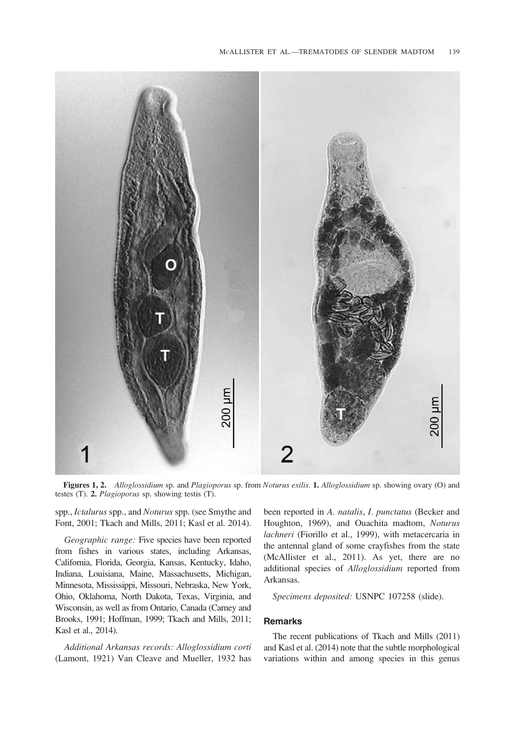

Figures 1, 2. Alloglossidium sp. and Plagioporus sp. from Noturus exilis. 1. Alloglossidium sp. showing ovary (O) and testes (T). 2. Plagioporus sp. showing testis (T).

spp., Ictalurus spp., and Noturus spp. (see Smythe and Font, 2001; Tkach and Mills, 2011; Kasl et al. 2014).

Geographic range: Five species have been reported from fishes in various states, including Arkansas, California, Florida, Georgia, Kansas, Kentucky, Idaho, Indiana, Louisiana, Maine, Massachusetts, Michigan, Minnesota, Mississippi, Missouri, Nebraska, New York, Ohio, Oklahoma, North Dakota, Texas, Virginia, and Wisconsin, as well as from Ontario, Canada (Carney and Brooks, 1991; Hoffman, 1999; Tkach and Mills, 2011; Kasl et al., 2014).

Additional Arkansas records: Alloglossidium corti (Lamont, 1921) Van Cleave and Mueller, 1932 has been reported in A. natalis, I. punctatus (Becker and Houghton, 1969), and Ouachita madtom, Noturus lachneri (Fiorillo et al., 1999), with metacercaria in the antennal gland of some crayfishes from the state (McAllister et al., 2011). As yet, there are no additional species of Alloglossidium reported from Arkansas.

Specimens deposited: USNPC 107258 (slide).

#### Remarks

The recent publications of Tkach and Mills (2011) and Kasl et al. (2014) note that the subtle morphological variations within and among species in this genus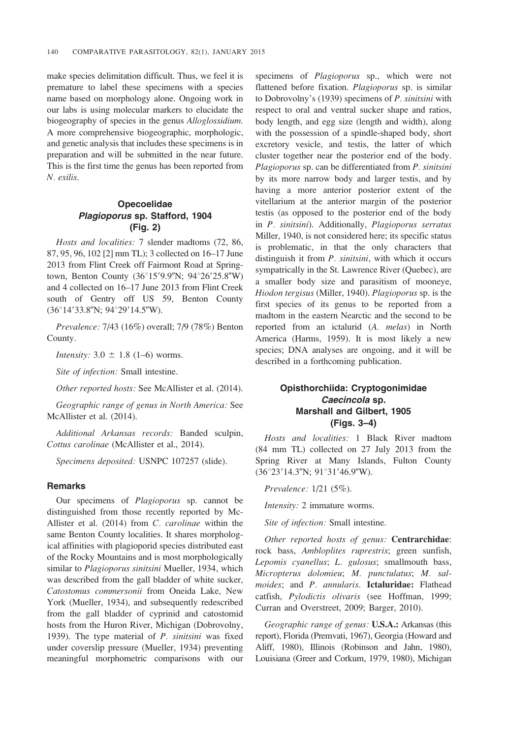make species delimitation difficult. Thus, we feel it is premature to label these specimens with a species name based on morphology alone. Ongoing work in our labs is using molecular markers to elucidate the biogeography of species in the genus Alloglossidium. A more comprehensive biogeographic, morphologic, and genetic analysis that includes these specimens is in preparation and will be submitted in the near future. This is the first time the genus has been reported from N. exilis.

## Opecoelidae Plagioporus sp. Stafford, 1904 (Fig. 2)

Hosts and localities: 7 slender madtoms (72, 86, 87, 95, 96, 102 [2] mm TL); 3 collected on 16–17 June 2013 from Flint Creek off Fairmont Road at Springtown, Benton County (36°15'9.9"N; 94°26'25.8"W) and 4 collected on 16–17 June 2013 from Flint Creek south of Gentry off US 59, Benton County  $(36°14'33.8''N; 94°29'14.5''W).$ 

Prevalence: 7/43 (16%) overall; 7/9 (78%) Benton County.

*Intensity:*  $3.0 \pm 1.8$  (1–6) worms.

Site of infection: Small intestine.

Other reported hosts: See McAllister et al. (2014).

Geographic range of genus in North America: See McAllister et al. (2014).

Additional Arkansas records: Banded sculpin, Cottus carolinae (McAllister et al., 2014).

Specimens deposited: USNPC 107257 (slide).

#### **Remarks**

Our specimens of Plagioporus sp. cannot be distinguished from those recently reported by Mc-Allister et al. (2014) from C. carolinae within the same Benton County localities. It shares morphological affinities with plagioporid species distributed east of the Rocky Mountains and is most morphologically similar to *Plagioporus sinitsini* Mueller, 1934, which was described from the gall bladder of white sucker, Catostomus commersonii from Oneida Lake, New York (Mueller, 1934), and subsequently redescribed from the gall bladder of cyprinid and catostomid hosts from the Huron River, Michigan (Dobrovolny, 1939). The type material of  $P$ . sinitsini was fixed under coverslip pressure (Mueller, 1934) preventing meaningful morphometric comparisons with our specimens of Plagioporus sp., which were not flattened before fixation. Plagioporus sp. is similar to Dobrovolny's (1939) specimens of P. sinitsini with respect to oral and ventral sucker shape and ratios, body length, and egg size (length and width), along with the possession of a spindle-shaped body, short excretory vesicle, and testis, the latter of which cluster together near the posterior end of the body. Plagioporus sp. can be differentiated from P. sinitsini by its more narrow body and larger testis, and by having a more anterior posterior extent of the vitellarium at the anterior margin of the posterior testis (as opposed to the posterior end of the body in P. sinitsini). Additionally, Plagioporus serratus Miller, 1940, is not considered here; its specific status is problematic, in that the only characters that distinguish it from P. sinitsini, with which it occurs sympatrically in the St. Lawrence River (Quebec), are a smaller body size and parasitism of mooneye, Hiodon tergisus (Miller, 1940). Plagioporus sp. is the first species of its genus to be reported from a madtom in the eastern Nearctic and the second to be reported from an ictalurid (A. melas) in North America (Harms, 1959). It is most likely a new species; DNA analyses are ongoing, and it will be described in a forthcoming publication.

## Opisthorchiida: Cryptogonimidae Caecincola sp. Marshall and Gilbert, 1905 (Figs. 3–4)

Hosts and localities: 1 Black River madtom (84 mm TL) collected on 27 July 2013 from the Spring River at Many Islands, Fulton County  $(36°23'14.3''N; 91°31'46.9''W).$ 

Prevalence: 1/21 (5%).

Intensity: 2 immature worms.

Site of infection: Small intestine.

Other reported hosts of genus: Centrarchidae: rock bass, Ambloplites ruprestris; green sunfish, Lepomis cyanellus; L. gulosus; smallmouth bass, Micropterus dolomieu; M. punctulatus; M. salmoides; and P. annularis. Ictaluridae: Flathead catfish, Pylodictis olivaris (see Hoffman, 1999; Curran and Overstreet, 2009; Barger, 2010).

Geographic range of genus: **U.S.A.:** Arkansas (this report), Florida (Premvati, 1967), Georgia (Howard and Aliff, 1980), Illinois (Robinson and Jahn, 1980), Louisiana (Greer and Corkum, 1979, 1980), Michigan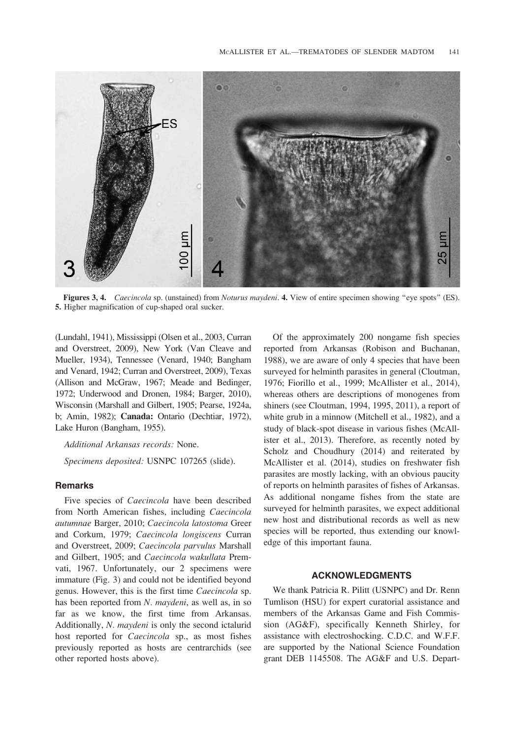

Figures 3, 4. Caecincola sp. (unstained) from Noturus maydeni. 4. View of entire specimen showing "eye spots" (ES). 5. Higher magnification of cup-shaped oral sucker.

(Lundahl, 1941), Mississippi (Olsen et al., 2003, Curran and Overstreet, 2009), New York (Van Cleave and Mueller, 1934), Tennessee (Venard, 1940; Bangham and Venard, 1942; Curran and Overstreet, 2009), Texas (Allison and McGraw, 1967; Meade and Bedinger, 1972; Underwood and Dronen, 1984; Barger, 2010), Wisconsin (Marshall and Gilbert, 1905; Pearse, 1924a, b; Amin, 1982); Canada: Ontario (Dechtiar, 1972), Lake Huron (Bangham, 1955).

Additional Arkansas records: None.

Specimens deposited: USNPC 107265 (slide).

#### **Remarks**

Five species of Caecincola have been described from North American fishes, including Caecincola autumnae Barger, 2010; Caecincola latostoma Greer and Corkum, 1979; Caecincola longiscens Curran and Overstreet, 2009; Caecincola parvulus Marshall and Gilbert, 1905; and Caecincola wakullata Premvati, 1967. Unfortunately, our 2 specimens were immature (Fig. 3) and could not be identified beyond genus. However, this is the first time Caecincola sp. has been reported from N. maydeni, as well as, in so far as we know, the first time from Arkansas. Additionally, N. maydeni is only the second ictalurid host reported for Caecincola sp., as most fishes previously reported as hosts are centrarchids (see other reported hosts above).

Of the approximately 200 nongame fish species reported from Arkansas (Robison and Buchanan, 1988), we are aware of only 4 species that have been surveyed for helminth parasites in general (Cloutman, 1976; Fiorillo et al., 1999; McAllister et al., 2014), whereas others are descriptions of monogenes from shiners (see Cloutman, 1994, 1995, 2011), a report of white grub in a minnow (Mitchell et al., 1982), and a study of black-spot disease in various fishes (McAllister et al., 2013). Therefore, as recently noted by Scholz and Choudhury (2014) and reiterated by McAllister et al. (2014), studies on freshwater fish parasites are mostly lacking, with an obvious paucity of reports on helminth parasites of fishes of Arkansas. As additional nongame fishes from the state are surveyed for helminth parasites, we expect additional new host and distributional records as well as new species will be reported, thus extending our knowledge of this important fauna.

#### ACKNOWLEDGMENTS

We thank Patricia R. Pilitt (USNPC) and Dr. Renn Tumlison (HSU) for expert curatorial assistance and members of the Arkansas Game and Fish Commission (AG&F), specifically Kenneth Shirley, for assistance with electroshocking. C.D.C. and W.F.F. are supported by the National Science Foundation grant DEB 1145508. The AG&F and U.S. Depart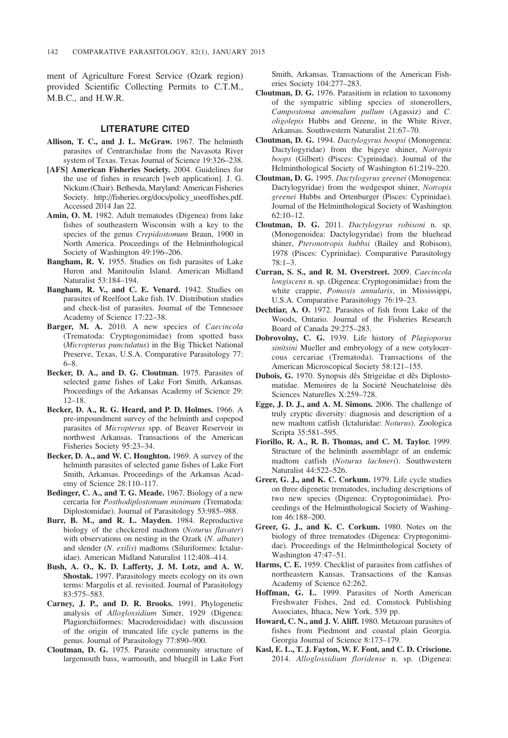ment of Agriculture Forest Service (Ozark region) provided Scientific Collecting Permits to C.T.M., M.B.C., and H.W.R.

## LITERATURE CITED

- Allison, T. C., and J. L. McGraw. 1967. The helminth parasites of Centrarchidae from the Navasota River system of Texas. Texas Journal of Science 19:326–238.
- [AFS] American Fisheries Society. 2004. Guidelines for the use of fishes in research [web application]. J. G. Nickum (Chair). Bethesda, Maryland: American Fisheries Society. http://fisheries.org/docs/policy\_useoffishes.pdf. Accessed 2014 Jan 22.
- Amin, O. M. 1982. Adult trematodes (Digenea) from lake fishes of southeastern Wisconsin with a key to the species of the genus Crepidostomum Braun, 1900 in North America. Proceedings of the Helminthological Society of Washington 49:196–206.
- Bangham, R. V. 1955. Studies on fish parasites of Lake Huron and Manitoulin Island. American Midland Naturalist 53:184–194.
- Bangham, R. V., and C. E. Venard. 1942. Studies on parasites of Reelfoot Lake fish. IV. Distribution studies and check-list of parasites. Journal of the Tennessee Academy of Science 17:22–38.
- Barger, M. A. 2010. A new species of Caecincola (Trematoda: Cryptogonimidae) from spotted bass (Micropterus punctulatus) in the Big Thicket National Preserve, Texas, U.S.A. Comparative Parasitology 77: 6–8.
- Becker, D. A., and D. G. Cloutman. 1975. Parasites of selected game fishes of Lake Fort Smith, Arkansas. Proceedings of the Arkansas Academy of Science 29: 12–18.
- Becker, D. A., R. G. Heard, and P. D. Holmes. 1966. A pre-impoundment survey of the helminth and copepod parasites of Micropterus spp. of Beaver Reservoir in northwest Arkansas. Transactions of the American Fisheries Society 95:23–34.
- Becker, D. A., and W. C. Houghton. 1969. A survey of the helminth parasites of selected game fishes of Lake Fort Smith, Arkansas. Proceedings of the Arkansas Academy of Science 28:110–117.
- Bedinger, C. A., and T. G. Meade. 1967. Biology of a new cercaria for Posthodiplostomum minimum (Trematoda: Diplostomidae). Journal of Parasitology 53:985–988.
- Burr, B. M., and R. L. Mayden. 1984. Reproductive biology of the checkered madtom (Noturus flavater) with observations on nesting in the Ozark (N. albater) and slender (N. exilis) madtoms (Siluriformes: Ictaluridae). American Midland Naturalist 112:408–414.
- Bush, A. O., K. D. Lafferty, J. M. Lotz, and A. W. Shostak. 1997. Parasitology meets ecology on its own terms: Margolis et al. revisited. Journal of Parasitology 83:575–583.
- Carney, J. P., and D. R. Brooks. 1991. Phylogenetic analysis of Alloglossidium Simer, 1929 (Digenea: Plagiorchiiformes: Macroderoididae) with discussion of the origin of truncated life cycle patterns in the genus. Journal of Parasitology 77:890–900.
- Cloutman, D. G. 1975. Parasite community structure of largemouth bass, warmouth, and bluegill in Lake Fort

Smith, Arkansas. Transactions of the American Fisheries Society 104:277–283.

- Cloutman, D. G. 1976. Parasitism in relation to taxonomy of the sympatric sibling species of stonerollers, Campostoma anomalum pullum (Agassiz) and C. oligolepis Hubbs and Greene, in the White River, Arkansas. Southwestern Naturalist 21:67–70.
- Cloutman, D. G. 1994. Dactylogyrus boopsi (Monogenea: Dactylogyridae) from the bigeye shiner, Notropis boops (Gilbert) (Pisces: Cyprinidae). Journal of the Helminthological Society of Washington 61:219–220.
- Cloutman, D. G. 1995. Dactylogyrus greenei (Monogenea: Dactylogyridae) from the wedgespot shiner, Notropis greenei Hubbs and Ortenburger (Pisces: Cyprinidae). Journal of the Helminthological Society of Washington 62:10–12.
- Cloutman, D. G. 2011. Dactylogyrus robisoni n. sp. (Monogenoidea: Dactylogyridae) from the bluehead shiner, Pteronotropis hubbsi (Bailey and Robison), 1978 (Pisces: Cyprinidae). Comparative Parasitology 78:1–3.
- Curran, S. S., and R. M. Overstreet. 2009. Caecincola longiscens n. sp. (Digenea: Cryptogonimidae) from the white crappie, Pomoxis annularis, in Mississippi, U.S.A. Comparative Parasitology 76:19–23.
- Dechtiar, A. O. 1972. Parasites of fish from Lake of the Woods, Ontario. Journal of the Fisheries Research Board of Canada 29:275–283.
- Dobrovolny, C. G. 1939. Life history of Plagioporus sinitsini Mueller and embryology of a new cotylocercous cercariae (Trematoda). Transactions of the American Microscopical Society 58:121–155.
- Dubois, G. 1970. Synopsis dês Strigeidae et dês Diplostomatidae. Memoires de la Societé Neuchateloise dês Sciences Naturelles X:259–728.
- Egge, J. D. J., and A. M. Simons. 2006. The challenge of truly cryptic diversity: diagnosis and description of a new madtom catfish (Ictaluridae: Noturus). Zoologica Scripta 35:581–595.
- Fiorillo, R. A., R. B. Thomas, and C. M. Taylor. 1999. Structure of the helminth assemblage of an endemic madtom catfish (Noturus lachneri). Southwestern Naturalist 44:522–526.
- Greer, G. J., and K. C. Corkum. 1979. Life cycle studies on three digenetic trematodes, including descriptions of two new species (Digenea: Cryptogonimidae). Proceedings of the Helminthological Society of Washington 46:188–200.
- Greer, G. J., and K. C. Corkum. 1980. Notes on the biology of three trematodes (Digenea: Cryptogonimidae). Proceedings of the Helminthological Society of Washington 47:47–51.
- Harms, C. E. 1959. Checklist of parasites from catfishes of northeastern Kansas. Transactions of the Kansas Academy of Science 62:262.
- Hoffman, G. L. 1999. Parasites of North American Freshwater Fishes, 2nd ed. Comstock Publishing Associates, Ithaca, New York. 539 pp.
- Howard, C. N., and J. V. Aliff. 1980. Metazoan parasites of fishes from Piedmont and coastal plain Georgia. Georgia Journal of Science 8:173–179.
- Kasl, E. L., T. J. Fayton, W. F. Font, and C. D. Criscione. 2014. Alloglossidium floridense n. sp. (Digenea: